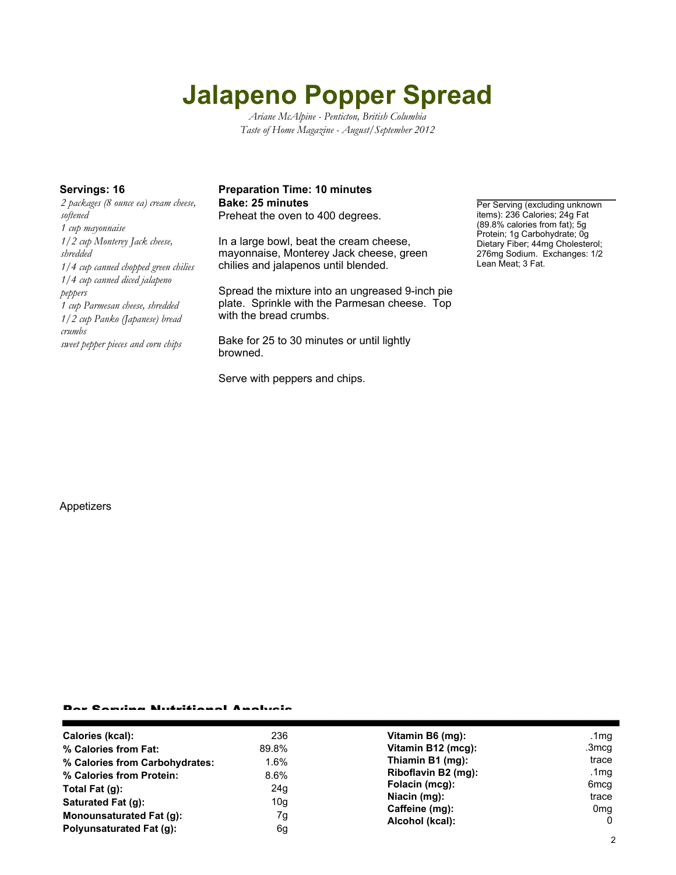# **Jalapeno Popper Spread**

*Ariane McAlpine - Penticton, British Columbia Taste of Home Magazine - August/September 2012*

*2 packages (8 ounce ea) cream cheese, softened 1 cup mayonnaise 1/2 cup Monterey Jack cheese, shredded 1/4 cup canned chopped green chilies 1/4 cup canned diced jalapeno peppers 1 cup Parmesan cheese, shredded 1/2 cup Panko (Japanese) bread crumbs sweet pepper pieces and corn chips*

## **Servings: 16 Preparation Time: 10 minutes Bake: 25 minutes Per Serving (excluding unknown**)

Preheat the oven to 400 degrees.

In a large bowl, beat the cream cheese, mayonnaise, Monterey Jack cheese, green chilies and jalapenos until blended.

Spread the mixture into an ungreased 9-inch pie plate. Sprinkle with the Parmesan cheese. Top with the bread crumbs.

Bake for 25 to 30 minutes or until lightly browned.

Serve with peppers and chips.

items): 236 Calories; 24g Fat (89.8% calories from fat); 5g Protein; 1g Carbohydrate; 0g Dietary Fiber; 44mg Cholesterol; 276mg Sodium. Exchanges: 1/2 Lean Meat; 3 Fat.

#### Appetizers

#### Per Serving Nutritional Analysis

| Calories (kcal):                | 236   | Vitamin B6 (mg):                                                                                               | .1 $mg$         |
|---------------------------------|-------|----------------------------------------------------------------------------------------------------------------|-----------------|
| % Calories from Fat:            | 89.8% | Vitamin B12 (mcg):                                                                                             | .3mcg           |
| % Calories from Carbohydrates:  | 1.6%  | Thiamin B1 (mg):<br>Riboflavin B2 (mg):<br>Folacin (mcg):<br>Niacin (mg):<br>Caffeine (mg):<br>Alcohol (kcal): | trace           |
| % Calories from Protein:        | 8.6%  |                                                                                                                | .1 $mg$         |
| Total Fat $(g)$ :               | 24g   |                                                                                                                | 6mcq            |
| Saturated Fat (g):              | 10g   |                                                                                                                | trace           |
| <b>Monounsaturated Fat (g):</b> | 7g    |                                                                                                                | 0 <sub>mq</sub> |
| Polyunsaturated Fat (q):        | 6g    |                                                                                                                | 0               |
|                                 |       |                                                                                                                |                 |